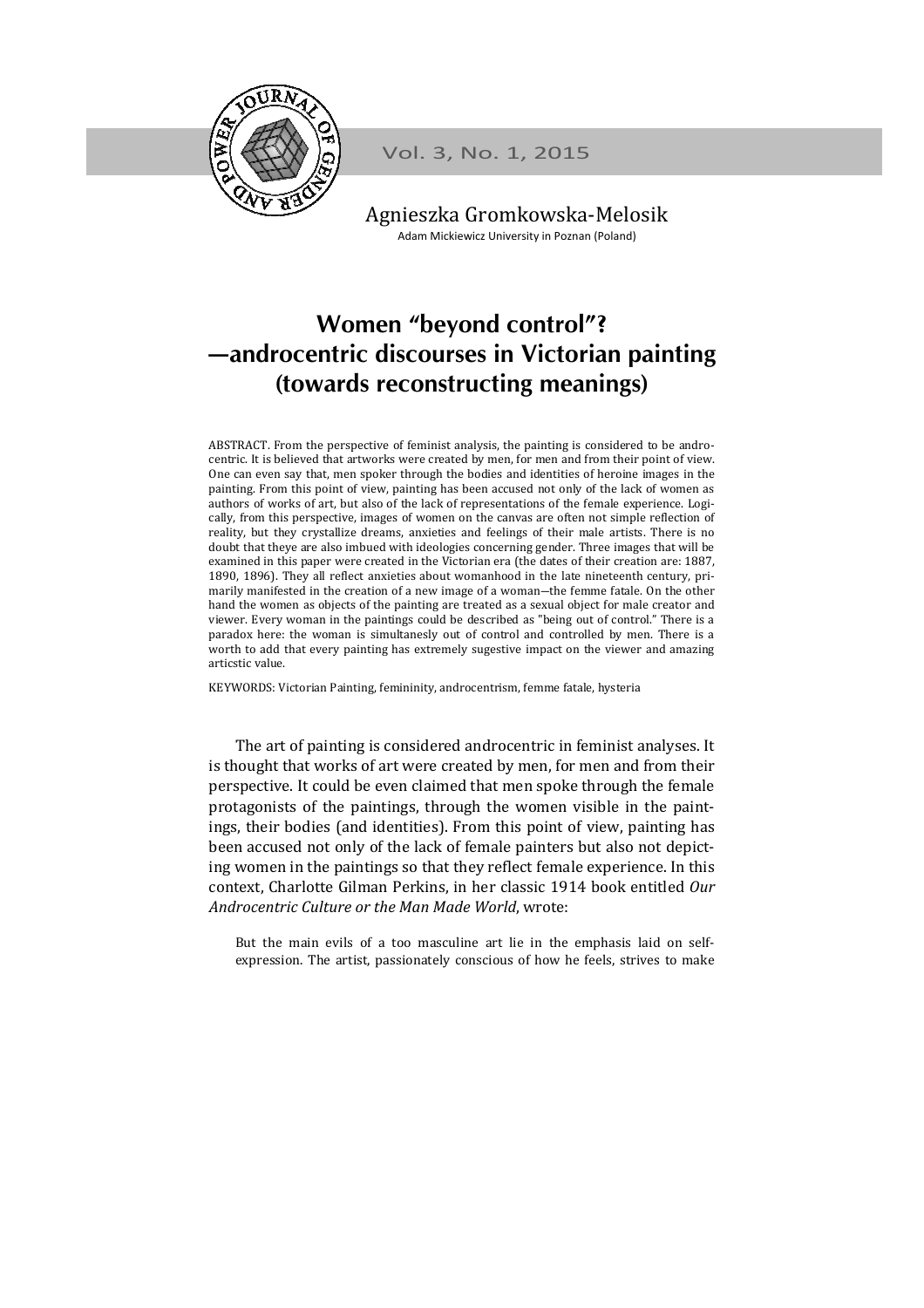

Vol. 3, No. 1, 2015

Agnieszka Gromkowska-Melosik Adam Mickiewicz University in Poznan (Poland)

# Women "beyond control"? —androcentric discourses in Victorian painting (towards reconstructing meanings)

ABSTRACT. From the perspective of feminist analysis, the painting is considered to be androcentric. It is believed that artworks were created by men, for men and from their point of view. One can even say that, men spoker through the bodies and identities of heroine images in the painting. From this point of view, painting has been accused not only of the lack of women as authors of works of art, but also of the lack of representations of the female experience. Logically, from this perspective, images of women on the canvas are often not simple reflection of reality, but they crystallize dreams, anxieties and feelings of their male artists. There is no doubt that theye are also imbued with ideologies concerning gender. Three images that will be examined in this paper were created in the Victorian era (the dates of their creation are: 1887, 1890, 1896). They all reflect anxieties about womanhood in the late nineteenth century, primarily manifested in the creation of a new image of a woman―the femme fatale. On the other hand the women as objects of the painting are treated as a sexual object for male creator and viewer. Every woman in the paintings could be described as "being out of control." There is a paradox here: the woman is simultanesly out of control and controlled by men. There is a worth to add that every painting has extremely sugestive impact on the viewer and amazing articstic value.

KEYWORDS: Victorian Painting, femininity, androcentrism, femme fatale, hysteria

The art of painting is considered androcentric in feminist analyses. It is thought that works of art were created by men, for men and from their perspective. It could be even claimed that men spoke through the female protagonists of the paintings, through the women visible in the paintings, their bodies (and identities). From this point of view, painting has been accused not only of the lack of female painters but also not depicting women in the paintings so that they reflect female experience. In this context, Charlotte Gilman Perkins, in her classic 1914 book entitled Our Androcentric Culture or the Man Made World, wrote:

But the main evils of a too masculine art lie in the emphasis laid on selfexpression. The artist, passionately conscious of how he feels, strives to make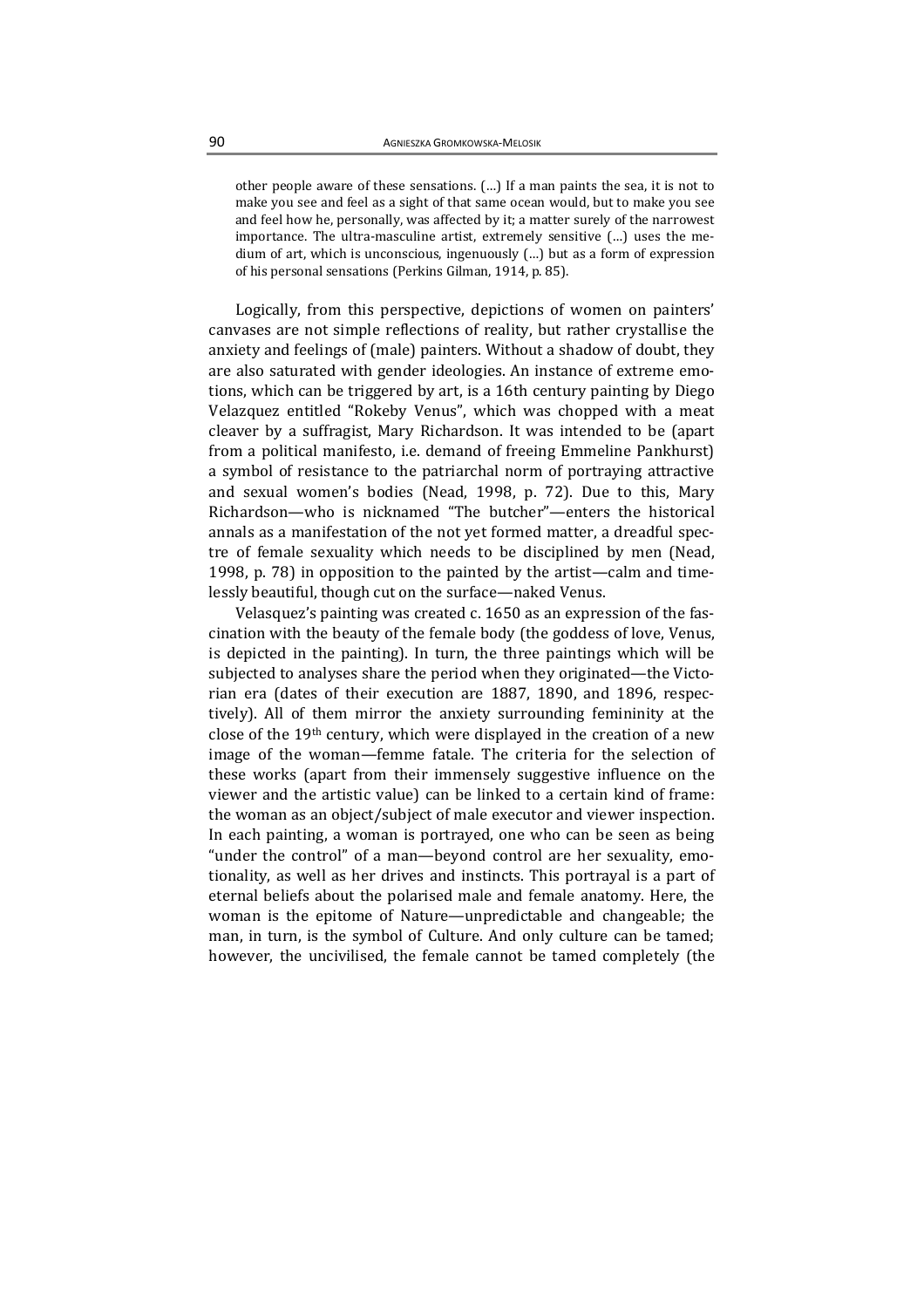other people aware of these sensations. (…) If a man paints the sea, it is not to make you see and feel as a sight of that same ocean would, but to make you see and feel how he, personally, was affected by it; a matter surely of the narrowest importance. The ultra-masculine artist, extremely sensitive (…) uses the medium of art, which is unconscious, ingenuously (…) but as a form of expression of his personal sensations (Perkins Gilman, 1914, p. 85).

Logically, from this perspective, depictions of women on painters' canvases are not simple reflections of reality, but rather crystallise the anxiety and feelings of (male) painters. Without a shadow of doubt, they are also saturated with gender ideologies. An instance of extreme emotions, which can be triggered by art, is a 16th century painting by Diego Velazquez entitled "Rokeby Venus", which was chopped with a meat cleaver by a suffragist, Mary Richardson. It was intended to be (apart from a political manifesto, i.e. demand of freeing Emmeline Pankhurst) a symbol of resistance to the patriarchal norm of portraying attractive and sexual women's bodies (Nead, 1998, p. 72). Due to this, Mary Richardson—who is nicknamed "The butcher"—enters the historical annals as a manifestation of the not yet formed matter, a dreadful spectre of female sexuality which needs to be disciplined by men (Nead, 1998, p. 78) in opposition to the painted by the artist—calm and timelessly beautiful, though cut on the surface—naked Venus.

Velasquez's painting was created c. 1650 as an expression of the fascination with the beauty of the female body (the goddess of love, Venus, is depicted in the painting). In turn, the three paintings which will be subjected to analyses share the period when they originated—the Victorian era (dates of their execution are 1887, 1890, and 1896, respectively). All of them mirror the anxiety surrounding femininity at the close of the 19th century, which were displayed in the creation of a new image of the woman—femme fatale. The criteria for the selection of these works (apart from their immensely suggestive influence on the viewer and the artistic value) can be linked to a certain kind of frame: the woman as an object/subject of male executor and viewer inspection. In each painting, a woman is portrayed, one who can be seen as being "under the control" of a man—beyond control are her sexuality, emotionality, as well as her drives and instincts. This portrayal is a part of eternal beliefs about the polarised male and female anatomy. Here, the woman is the epitome of Nature—unpredictable and changeable; the man, in turn, is the symbol of Culture. And only culture can be tamed; however, the uncivilised, the female cannot be tamed completely (the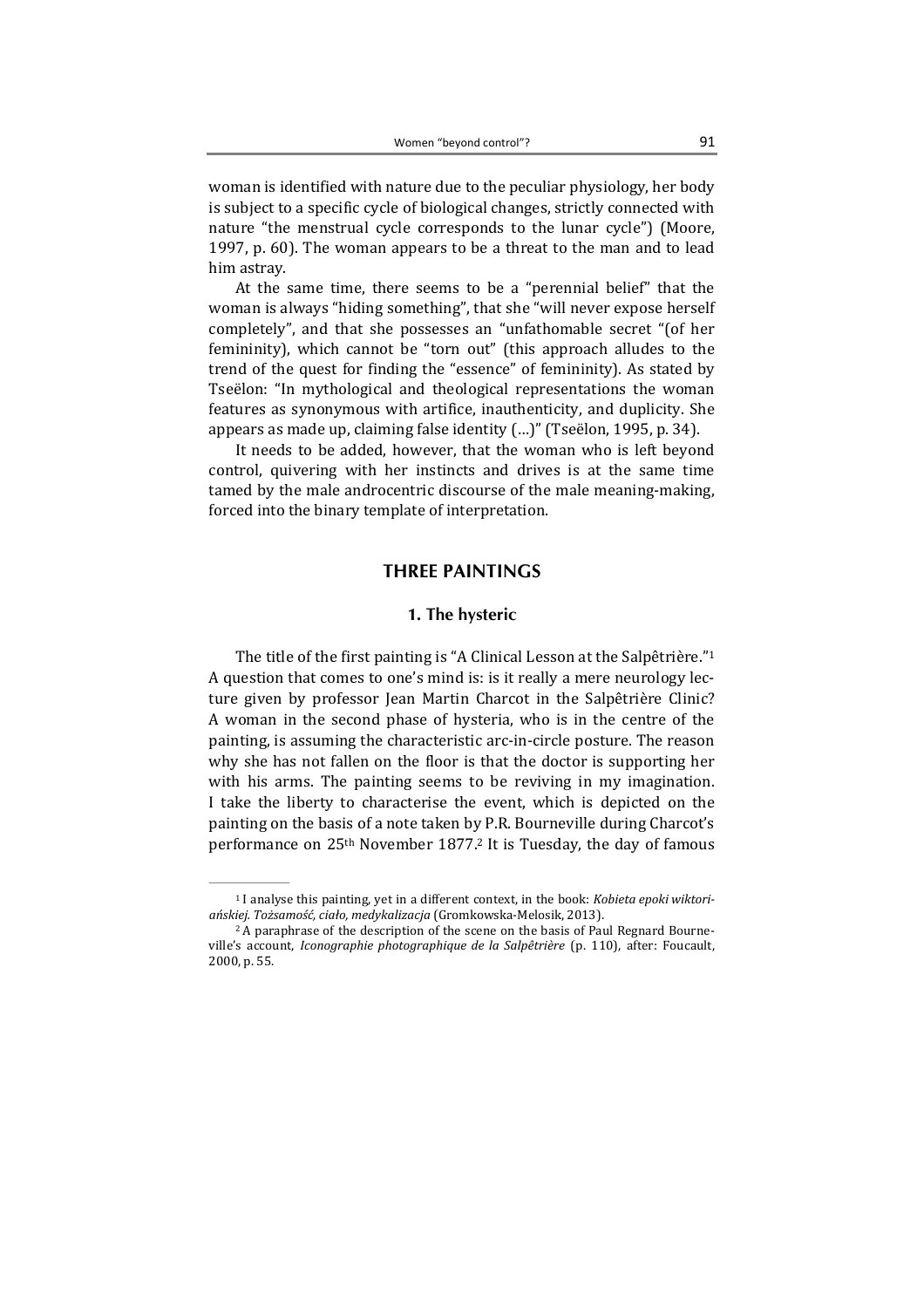woman is identified with nature due to the peculiar physiology, her body is subject to a specific cycle of biological changes, strictly connected with nature "the menstrual cycle corresponds to the lunar cycle") (Moore, 1997, p. 60). The woman appears to be a threat to the man and to lead him astray.

At the same time, there seems to be a "perennial belief" that the woman is always "hiding something", that she "will never expose herself completely", and that she possesses an "unfathomable secret "(of her femininity), which cannot be "torn out" (this approach alludes to the trend of the quest for finding the "essence" of femininity). As stated by Tseёlon: "In mythological and theological representations the woman features as synonymous with artifice, inauthenticity, and duplicity. She appears as made up, claiming false identity (…)" (Tseëlon, 1995, p. 34).

It needs to be added, however, that the woman who is left beyond control, quivering with her instincts and drives is at the same time tamed by the male androcentric discourse of the male meaning-making, forced into the binary template of interpretation.

## THREE PAINTINGS

#### 1. The hysteric

The title of the first painting is "A Clinical Lesson at the Salpêtrière."<sup>1</sup> A question that comes to one's mind is: is it really a mere neurology lecture given by professor Jean Martin Charcot in the Salpêtrière Clinic? A woman in the second phase of hysteria, who is in the centre of the painting, is assuming the characteristic arc-in-circle posture. The reason why she has not fallen on the floor is that the doctor is supporting her with his arms. The painting seems to be reviving in my imagination. I take the liberty to characterise the event, which is depicted on the painting on the basis of a note taken by P.R. Bourneville during Charcot's performance on 25th November 1877.2 It is Tuesday, the day of famous

 $\frac{1}{2}$  ,  $\frac{1}{2}$  ,  $\frac{1}{2}$  ,  $\frac{1}{2}$  ,  $\frac{1}{2}$  ,  $\frac{1}{2}$  ,  $\frac{1}{2}$ 

<sup>1</sup> I analyse this painting, yet in a different context, in the book: Kobieta epoki wiktoriańskiej. Tożsamość, ciało, medykalizacja (Gromkowska-Melosik, 2013).

<sup>&</sup>lt;sup>2</sup> A paraphrase of the description of the scene on the basis of Paul Regnard Bourneville's account, Iconographie photographique de la Salpêtrière (p. 110), after: Foucault, 2000, p. 55.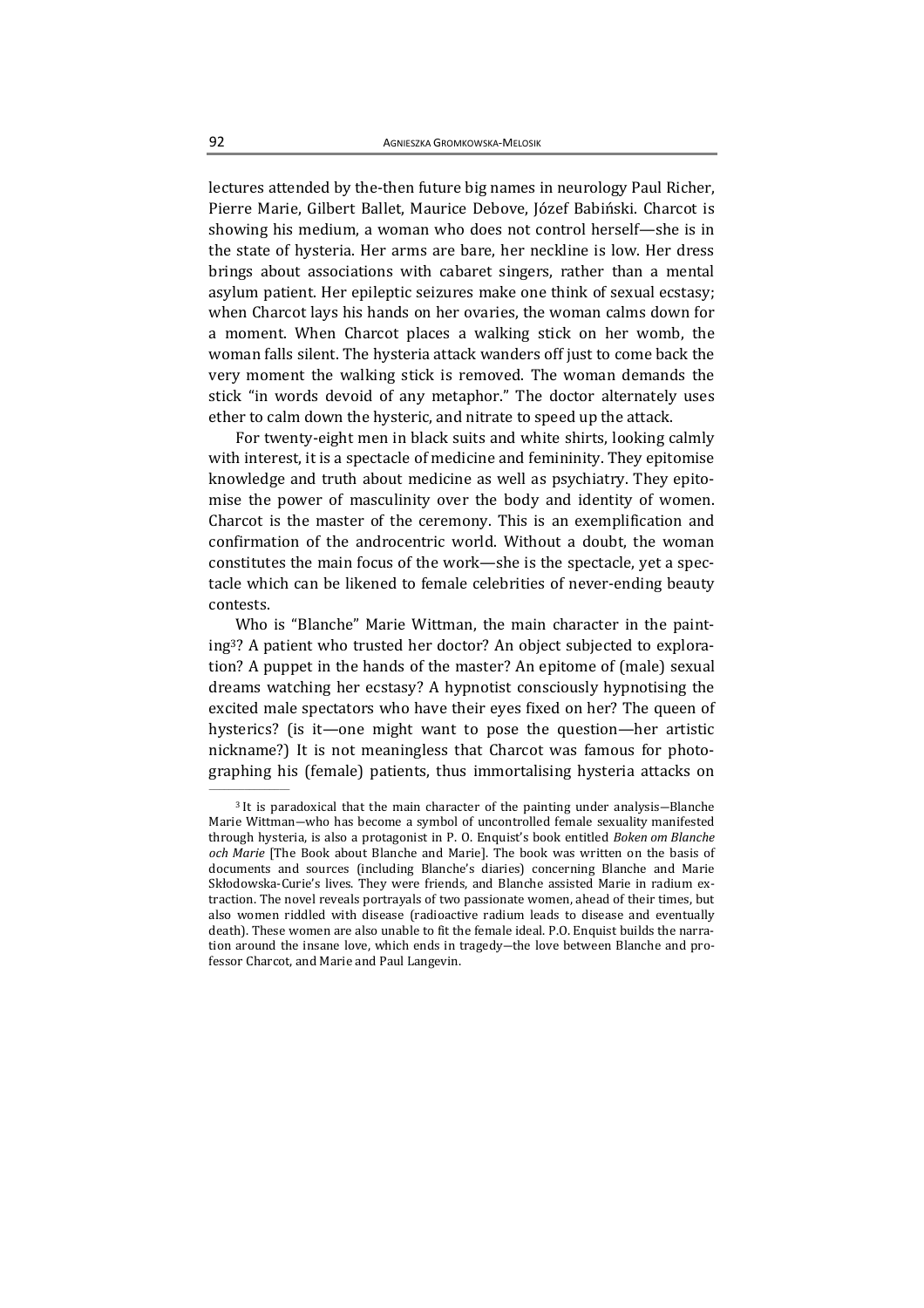lectures attended by the-then future big names in neurology Paul Richer, Pierre Marie, Gilbert Ballet, Maurice Debove, Józef Babiński. Charcot is showing his medium, a woman who does not control herself—she is in the state of hysteria. Her arms are bare, her neckline is low. Her dress brings about associations with cabaret singers, rather than a mental asylum patient. Her epileptic seizures make one think of sexual ecstasy; when Charcot lays his hands on her ovaries, the woman calms down for a moment. When Charcot places a walking stick on her womb, the woman falls silent. The hysteria attack wanders off just to come back the very moment the walking stick is removed. The woman demands the stick "in words devoid of any metaphor." The doctor alternately uses ether to calm down the hysteric, and nitrate to speed up the attack.

For twenty-eight men in black suits and white shirts, looking calmly with interest, it is a spectacle of medicine and femininity. They epitomise knowledge and truth about medicine as well as psychiatry. They epitomise the power of masculinity over the body and identity of women. Charcot is the master of the ceremony. This is an exemplification and confirmation of the androcentric world. Without a doubt, the woman constitutes the main focus of the work—she is the spectacle, yet a spectacle which can be likened to female celebrities of never-ending beauty contests.

Who is "Blanche" Marie Wittman, the main character in the painting3? A patient who trusted her doctor? An object subjected to exploration? A puppet in the hands of the master? An epitome of (male) sexual dreams watching her ecstasy? A hypnotist consciously hypnotising the excited male spectators who have their eyes fixed on her? The queen of hysterics? (is it—one might want to pose the question—her artistic nickname?) It is not meaningless that Charcot was famous for photographing his (female) patients, thus immortalising hysteria attacks on

<sup>3</sup> It is paradoxical that the main character of the painting under analysis―Blanche Marie Wittman―who has become a symbol of uncontrolled female sexuality manifested through hysteria, is also a protagonist in P. O. Enquist's book entitled Boken om Blanche och Marie [The Book about Blanche and Marie]. The book was written on the basis of documents and sources (including Blanche's diaries) concerning Blanche and Marie Skłodowska-Curie's lives. They were friends, and Blanche assisted Marie in radium extraction. The novel reveals portrayals of two passionate women, ahead of their times, but also women riddled with disease (radioactive radium leads to disease and eventually death). These women are also unable to fit the female ideal. P.O. Enquist builds the narration around the insane love, which ends in tragedy—the love between Blanche and professor Charcot, and Marie and Paul Langevin.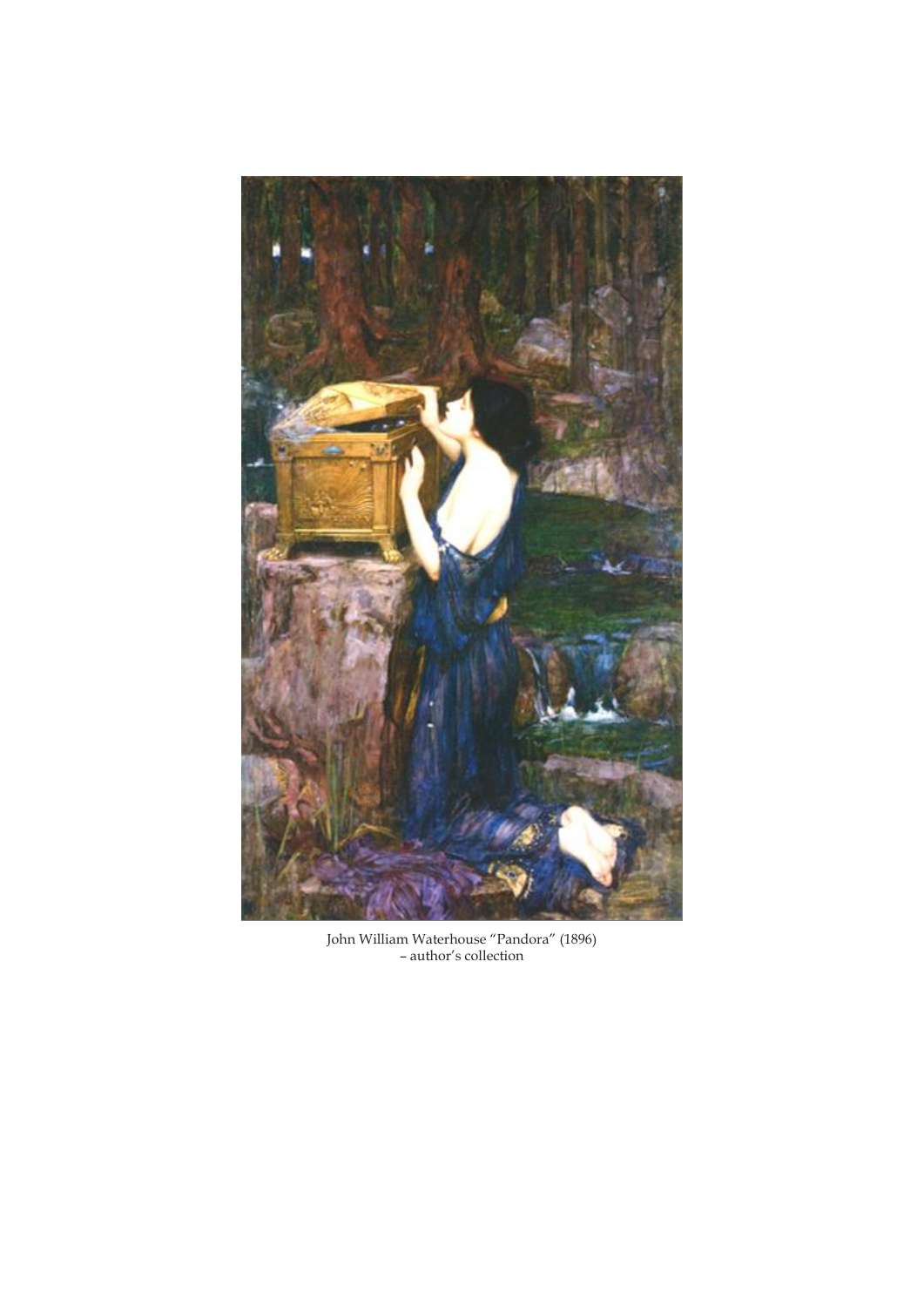

John William Waterhouse "Pandora" (1896) – author's collection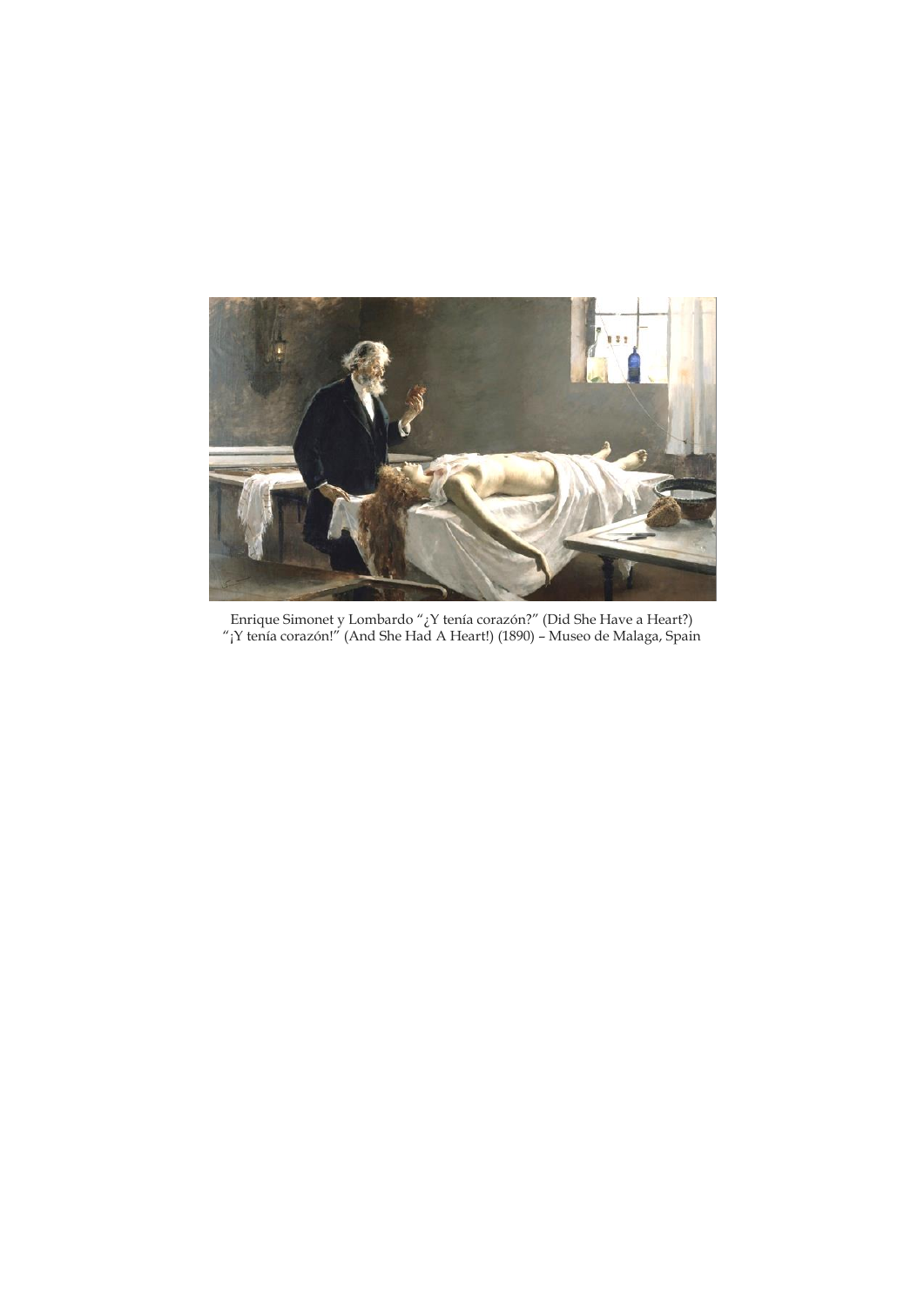

Enrique Simonet y Lombardo "¿Y tenía corazón?" (Did She Have a Heart?) "¡Y tenía corazón!" (And She Had A Heart!) (1890) – Museo de Malaga, Spain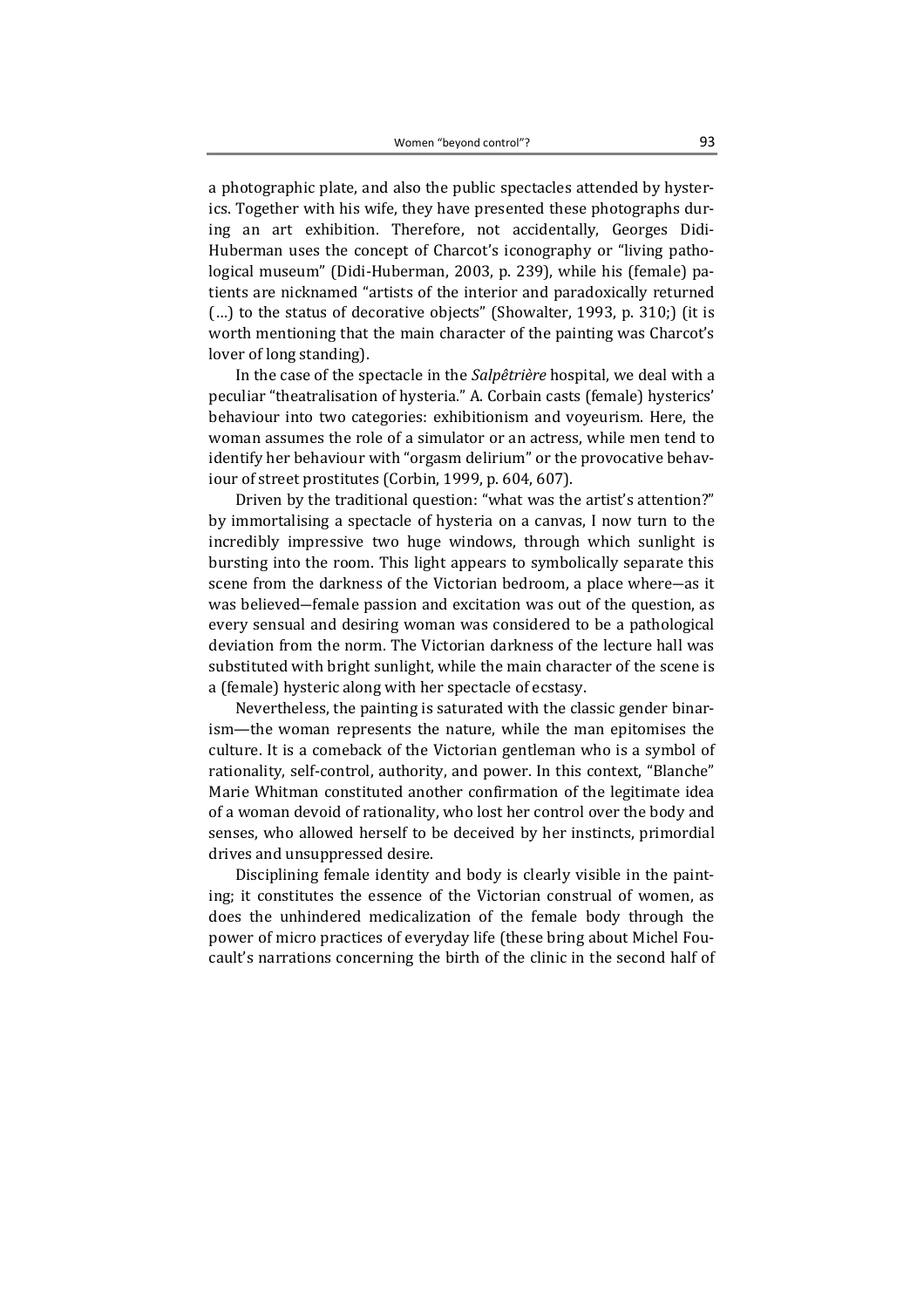a photographic plate, and also the public spectacles attended by hysterics. Together with his wife, they have presented these photographs during an art exhibition. Therefore, not accidentally, Georges Didi-Huberman uses the concept of Charcot's iconography or "living pathological museum" (Didi-Huberman, 2003, p. 239), while his (female) patients are nicknamed "artists of the interior and paradoxically returned (…) to the status of decorative objects" (Showalter, 1993, p. 310;) (it is worth mentioning that the main character of the painting was Charcot's lover of long standing).

In the case of the spectacle in the Salpêtrière hospital, we deal with a peculiar "theatralisation of hysteria." A. Corbain casts (female) hysterics' behaviour into two categories: exhibitionism and voyeurism. Here, the woman assumes the role of a simulator or an actress, while men tend to identify her behaviour with "orgasm delirium" or the provocative behaviour of street prostitutes (Corbin, 1999, p. 604, 607).

Driven by the traditional question: "what was the artist's attention?" by immortalising a spectacle of hysteria on a canvas, I now turn to the incredibly impressive two huge windows, through which sunlight is bursting into the room. This light appears to symbolically separate this scene from the darkness of the Victorian bedroom, a place where―as it was believed―female passion and excitation was out of the question, as every sensual and desiring woman was considered to be a pathological deviation from the norm. The Victorian darkness of the lecture hall was substituted with bright sunlight, while the main character of the scene is a (female) hysteric along with her spectacle of ecstasy.

Nevertheless, the painting is saturated with the classic gender binarism—the woman represents the nature, while the man epitomises the culture. It is a comeback of the Victorian gentleman who is a symbol of rationality, self-control, authority, and power. In this context, "Blanche" Marie Whitman constituted another confirmation of the legitimate idea of a woman devoid of rationality, who lost her control over the body and senses, who allowed herself to be deceived by her instincts, primordial drives and unsuppressed desire.

Disciplining female identity and body is clearly visible in the painting; it constitutes the essence of the Victorian construal of women, as does the unhindered medicalization of the female body through the power of micro practices of everyday life (these bring about Michel Foucault's narrations concerning the birth of the clinic in the second half of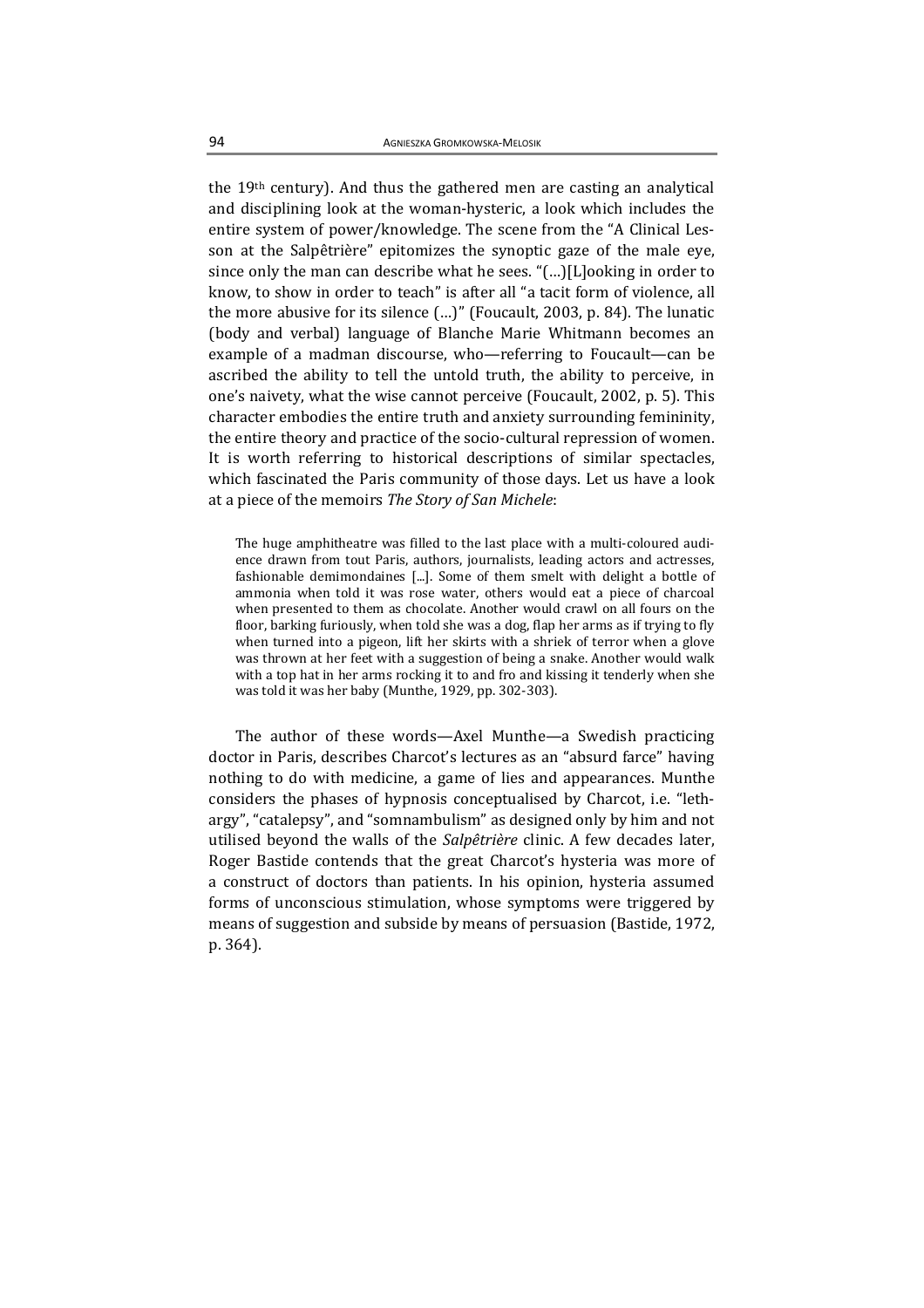the 19th century). And thus the gathered men are casting an analytical and disciplining look at the woman-hysteric, a look which includes the entire system of power/knowledge. The scene from the "A Clinical Lesson at the Salpêtrière" epitomizes the synoptic gaze of the male eye, since only the man can describe what he sees. "(…)[L]ooking in order to know, to show in order to teach" is after all "a tacit form of violence, all the more abusive for its silence (…)" (Foucault, 2003, p. 84). The lunatic (body and verbal) language of Blanche Marie Whitmann becomes an example of a madman discourse, who—referring to Foucault—can be ascribed the ability to tell the untold truth, the ability to perceive, in one's naivety, what the wise cannot perceive (Foucault, 2002, p. 5). This character embodies the entire truth and anxiety surrounding femininity, the entire theory and practice of the socio-cultural repression of women. It is worth referring to historical descriptions of similar spectacles, which fascinated the Paris community of those days. Let us have a look at a piece of the memoirs The Story of San Michele:

The huge amphitheatre was filled to the last place with a multi-coloured audience drawn from tout Paris, authors, journalists, leading actors and actresses, fashionable demimondaines [...]. Some of them smelt with delight a bottle of ammonia when told it was rose water, others would eat a piece of charcoal when presented to them as chocolate. Another would crawl on all fours on the floor, barking furiously, when told she was a dog, flap her arms as if trying to fly when turned into a pigeon, lift her skirts with a shriek of terror when a glove was thrown at her feet with a suggestion of being a snake. Another would walk with a top hat in her arms rocking it to and fro and kissing it tenderly when she was told it was her baby (Munthe, 1929, pp. 302-303).

The author of these words—Axel Munthe—a Swedish practicing doctor in Paris, describes Charcot's lectures as an "absurd farce" having nothing to do with medicine, a game of lies and appearances. Munthe considers the phases of hypnosis conceptualised by Charcot, i.e. "lethargy", "catalepsy", and "somnambulism" as designed only by him and not utilised beyond the walls of the Salpêtrière clinic. A few decades later, Roger Bastide contends that the great Charcot's hysteria was more of a construct of doctors than patients. In his opinion, hysteria assumed forms of unconscious stimulation, whose symptoms were triggered by means of suggestion and subside by means of persuasion (Bastide, 1972, p. 364).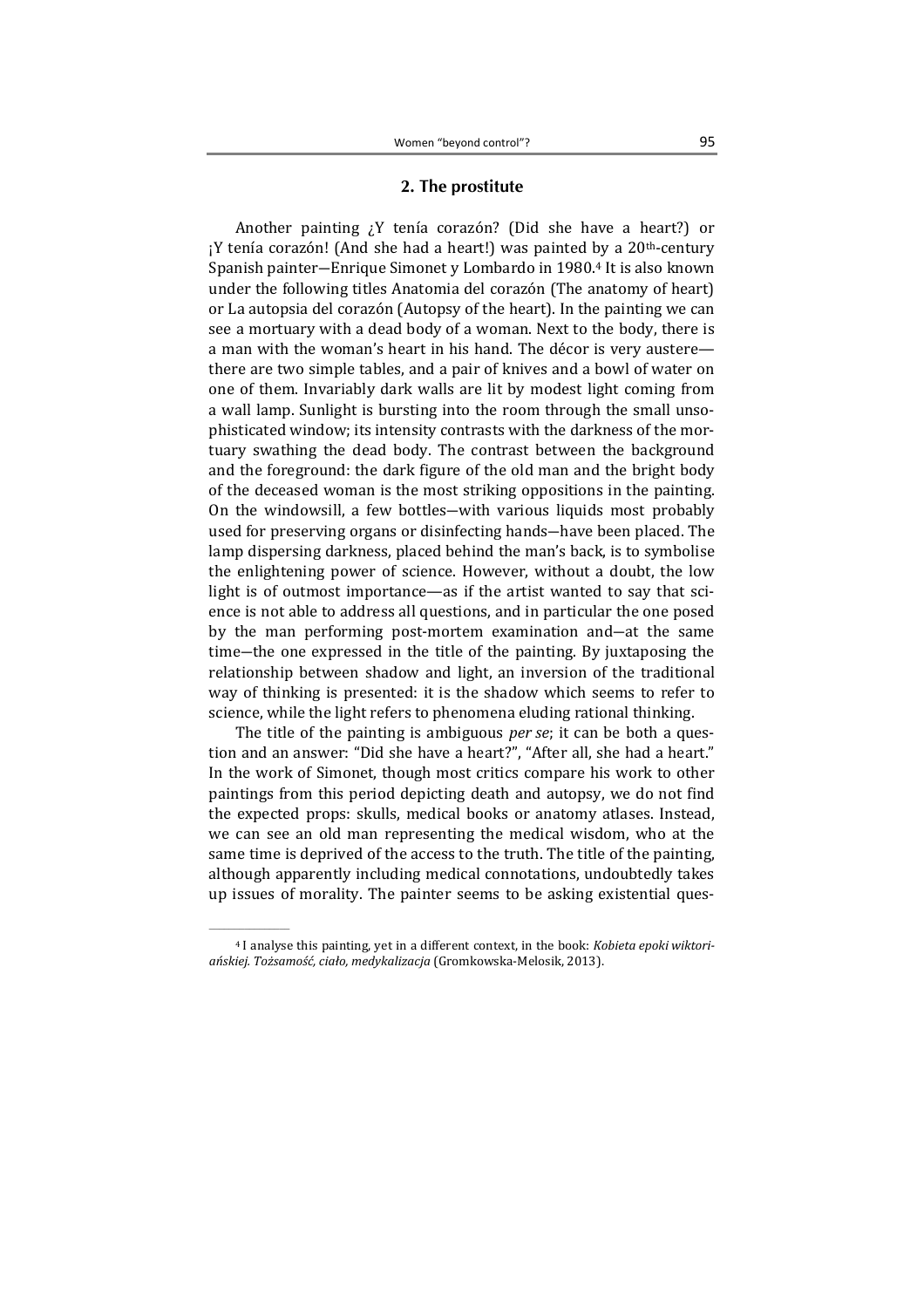### 2. The prostitute

Another painting ¿Y tenía corazón? (Did she have a heart?) or  $iY$  tenía corazón! (And she had a heart!) was painted by a 20<sup>th</sup>-century Spanish painter―Enrique Simonet y Lombardo in 1980.4 It is also known under the following titles Anatomia del corazón (The anatomy of heart) or La autopsia del corazón (Autopsy of the heart). In the painting we can see a mortuary with a dead body of a woman. Next to the body, there is a man with the woman's heart in his hand. The décor is very austere there are two simple tables, and a pair of knives and a bowl of water on one of them. Invariably dark walls are lit by modest light coming from a wall lamp. Sunlight is bursting into the room through the small unsophisticated window; its intensity contrasts with the darkness of the mortuary swathing the dead body. The contrast between the background and the foreground: the dark figure of the old man and the bright body of the deceased woman is the most striking oppositions in the painting. On the windowsill, a few bottles―with various liquids most probably used for preserving organs or disinfecting hands―have been placed. The lamp dispersing darkness, placed behind the man's back, is to symbolise the enlightening power of science. However, without a doubt, the low light is of outmost importance—as if the artist wanted to say that science is not able to address all questions, and in particular the one posed by the man performing post-mortem examination and―at the same time―the one expressed in the title of the painting. By juxtaposing the relationship between shadow and light, an inversion of the traditional way of thinking is presented: it is the shadow which seems to refer to science, while the light refers to phenomena eluding rational thinking.

The title of the painting is ambiguous *per se*; it can be both a question and an answer: "Did she have a heart?", "After all, she had a heart." In the work of Simonet, though most critics compare his work to other paintings from this period depicting death and autopsy, we do not find the expected props: skulls, medical books or anatomy atlases. Instead, we can see an old man representing the medical wisdom, who at the same time is deprived of the access to the truth. The title of the painting, although apparently including medical connotations, undoubtedly takes up issues of morality. The painter seems to be asking existential ques-

<sup>4</sup> I analyse this painting, yet in a different context, in the book: Kobieta epoki wiktoriańskiej. Tożsamość, ciało, medykalizacja (Gromkowska-Melosik, 2013).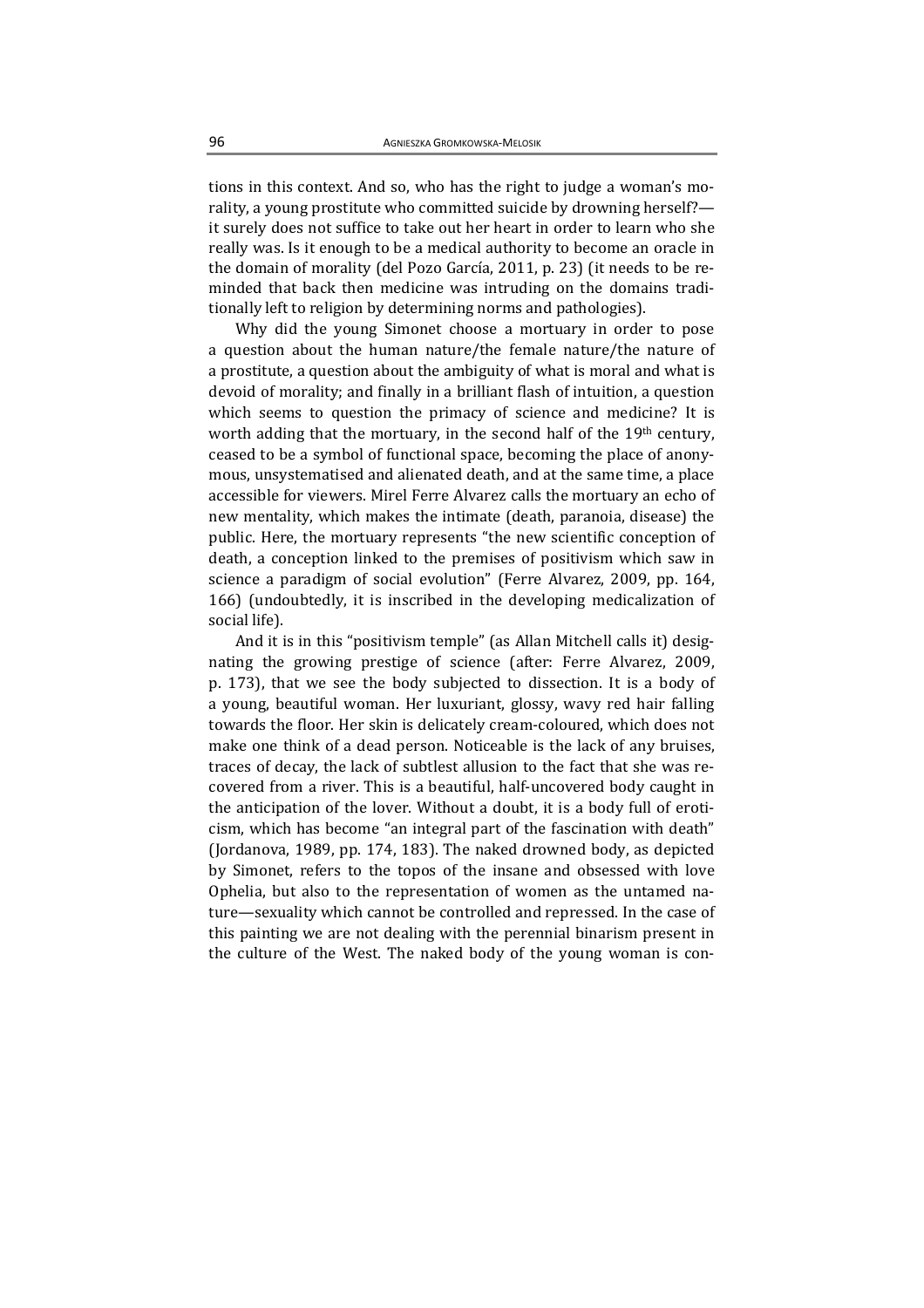tions in this context. And so, who has the right to judge a woman's morality, a young prostitute who committed suicide by drowning herself? it surely does not suffice to take out her heart in order to learn who she really was. Is it enough to be a medical authority to become an oracle in the domain of morality (del Pozo García, 2011, p. 23) (it needs to be reminded that back then medicine was intruding on the domains traditionally left to religion by determining norms and pathologies).

Why did the young Simonet choose a mortuary in order to pose a question about the human nature/the female nature/the nature of a prostitute, a question about the ambiguity of what is moral and what is devoid of morality; and finally in a brilliant flash of intuition, a question which seems to question the primacy of science and medicine? It is worth adding that the mortuary, in the second half of the 19th century, ceased to be a symbol of functional space, becoming the place of anonymous, unsystematised and alienated death, and at the same time, a place accessible for viewers. Mirel Ferre Alvarez calls the mortuary an echo of new mentality, which makes the intimate (death, paranoia, disease) the public. Here, the mortuary represents "the new scientific conception of death, a conception linked to the premises of positivism which saw in science a paradigm of social evolution" (Ferre Alvarez, 2009, pp. 164, 166) (undoubtedly, it is inscribed in the developing medicalization of social life).

And it is in this "positivism temple" (as Allan Mitchell calls it) designating the growing prestige of science (after: Ferre Alvarez, 2009, p. 173), that we see the body subjected to dissection. It is a body of a young, beautiful woman. Her luxuriant, glossy, wavy red hair falling towards the floor. Her skin is delicately cream-coloured, which does not make one think of a dead person. Noticeable is the lack of any bruises, traces of decay, the lack of subtlest allusion to the fact that she was recovered from a river. This is a beautiful, half-uncovered body caught in the anticipation of the lover. Without a doubt, it is a body full of eroticism, which has become "an integral part of the fascination with death" (Jordanova, 1989, pp. 174, 183). The naked drowned body, as depicted by Simonet, refers to the topos of the insane and obsessed with love Ophelia, but also to the representation of women as the untamed nature—sexuality which cannot be controlled and repressed. In the case of this painting we are not dealing with the perennial binarism present in the culture of the West. The naked body of the young woman is con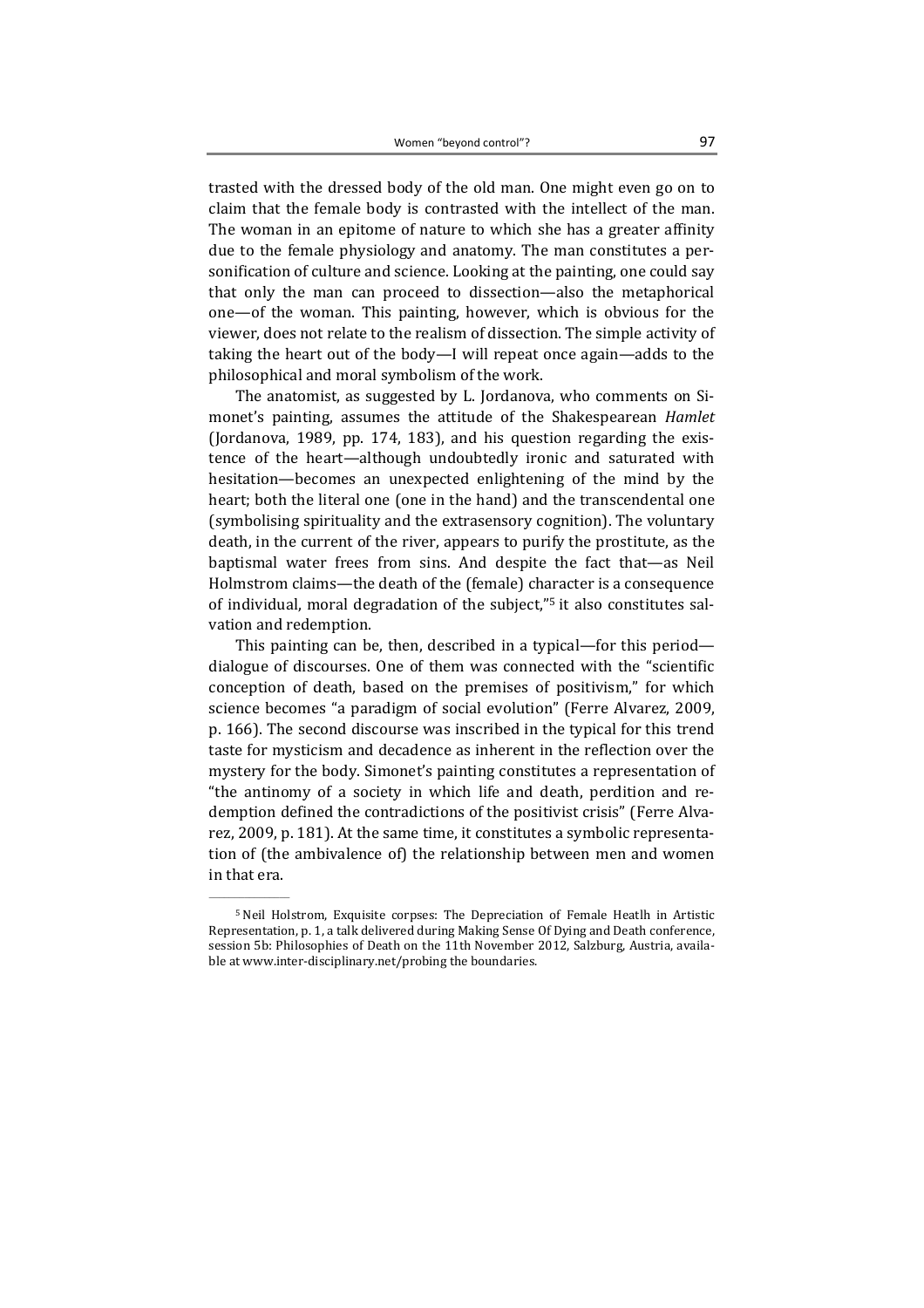trasted with the dressed body of the old man. One might even go on to claim that the female body is contrasted with the intellect of the man. The woman in an epitome of nature to which she has a greater affinity due to the female physiology and anatomy. The man constitutes a personification of culture and science. Looking at the painting, one could say that only the man can proceed to dissection—also the metaphorical one—of the woman. This painting, however, which is obvious for the viewer, does not relate to the realism of dissection. The simple activity of taking the heart out of the body—I will repeat once again—adds to the philosophical and moral symbolism of the work.

The anatomist, as suggested by L. Jordanova, who comments on Simonet's painting, assumes the attitude of the Shakespearean Hamlet (Jordanova, 1989, pp. 174, 183), and his question regarding the existence of the heart—although undoubtedly ironic and saturated with hesitation—becomes an unexpected enlightening of the mind by the heart; both the literal one (one in the hand) and the transcendental one (symbolising spirituality and the extrasensory cognition). The voluntary death, in the current of the river, appears to purify the prostitute, as the baptismal water frees from sins. And despite the fact that—as Neil Holmstrom claims—the death of the (female) character is a consequence of individual, moral degradation of the subject,"5 it also constitutes salvation and redemption.

This painting can be, then, described in a typical—for this period dialogue of discourses. One of them was connected with the "scientific conception of death, based on the premises of positivism," for which science becomes "a paradigm of social evolution" (Ferre Alvarez, 2009, p. 166). The second discourse was inscribed in the typical for this trend taste for mysticism and decadence as inherent in the reflection over the mystery for the body. Simonet's painting constitutes a representation of "the antinomy of a society in which life and death, perdition and redemption defined the contradictions of the positivist crisis" (Ferre Alvarez, 2009, p. 181). At the same time, it constitutes a symbolic representation of (the ambivalence of) the relationship between men and women in that era.

<sup>5</sup> Neil Holstrom, Exquisite corpses: The Depreciation of Female Heatlh in Artistic Representation, p. 1, a talk delivered during Making Sense Of Dying and Death conference, session 5b: Philosophies of Death on the 11th November 2012, Salzburg, Austria, available at www.inter-disciplinary.net/probing the boundaries.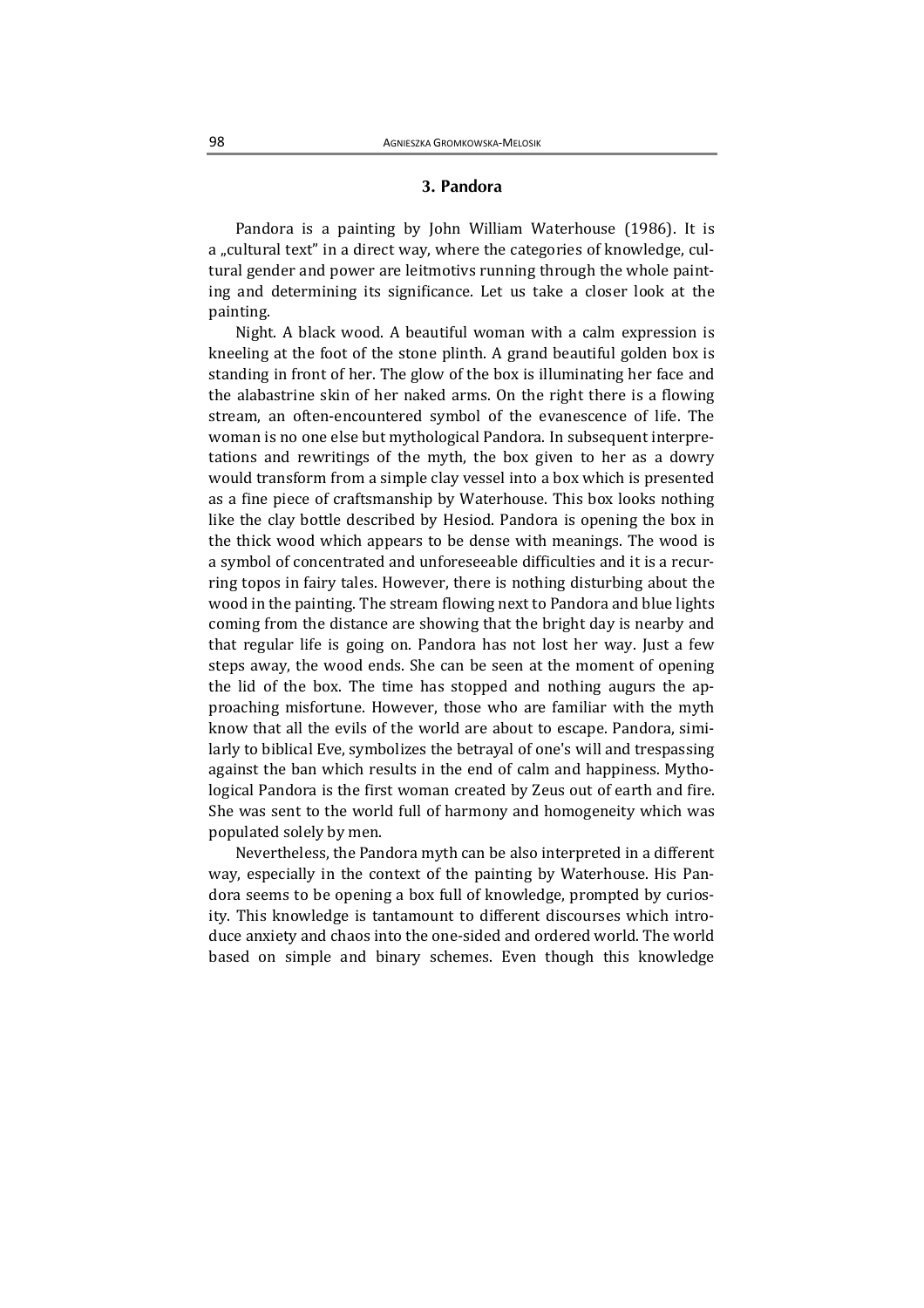## 3. Pandora

Pandora is a painting by John William Waterhouse (1986). It is a "cultural text" in a direct way, where the categories of knowledge, cultural gender and power are leitmotivs running through the whole painting and determining its significance. Let us take a closer look at the painting.

Night. A black wood. A beautiful woman with a calm expression is kneeling at the foot of the stone plinth. A grand beautiful golden box is standing in front of her. The glow of the box is illuminating her face and the alabastrine skin of her naked arms. On the right there is a flowing stream, an often-encountered symbol of the evanescence of life. The woman is no one else but mythological Pandora. In subsequent interpretations and rewritings of the myth, the box given to her as a dowry would transform from a simple clay vessel into a box which is presented as a fine piece of craftsmanship by Waterhouse. This box looks nothing like the clay bottle described by Hesiod. Pandora is opening the box in the thick wood which appears to be dense with meanings. The wood is a symbol of concentrated and unforeseeable difficulties and it is a recurring topos in fairy tales. However, there is nothing disturbing about the wood in the painting. The stream flowing next to Pandora and blue lights coming from the distance are showing that the bright day is nearby and that regular life is going on. Pandora has not lost her way. Just a few steps away, the wood ends. She can be seen at the moment of opening the lid of the box. The time has stopped and nothing augurs the approaching misfortune. However, those who are familiar with the myth know that all the evils of the world are about to escape. Pandora, similarly to biblical Eve, symbolizes the betrayal of one's will and trespassing against the ban which results in the end of calm and happiness. Mythological Pandora is the first woman created by Zeus out of earth and fire. She was sent to the world full of harmony and homogeneity which was populated solely by men.

Nevertheless, the Pandora myth can be also interpreted in a different way, especially in the context of the painting by Waterhouse. His Pandora seems to be opening a box full of knowledge, prompted by curiosity. This knowledge is tantamount to different discourses which introduce anxiety and chaos into the one-sided and ordered world. The world based on simple and binary schemes. Even though this knowledge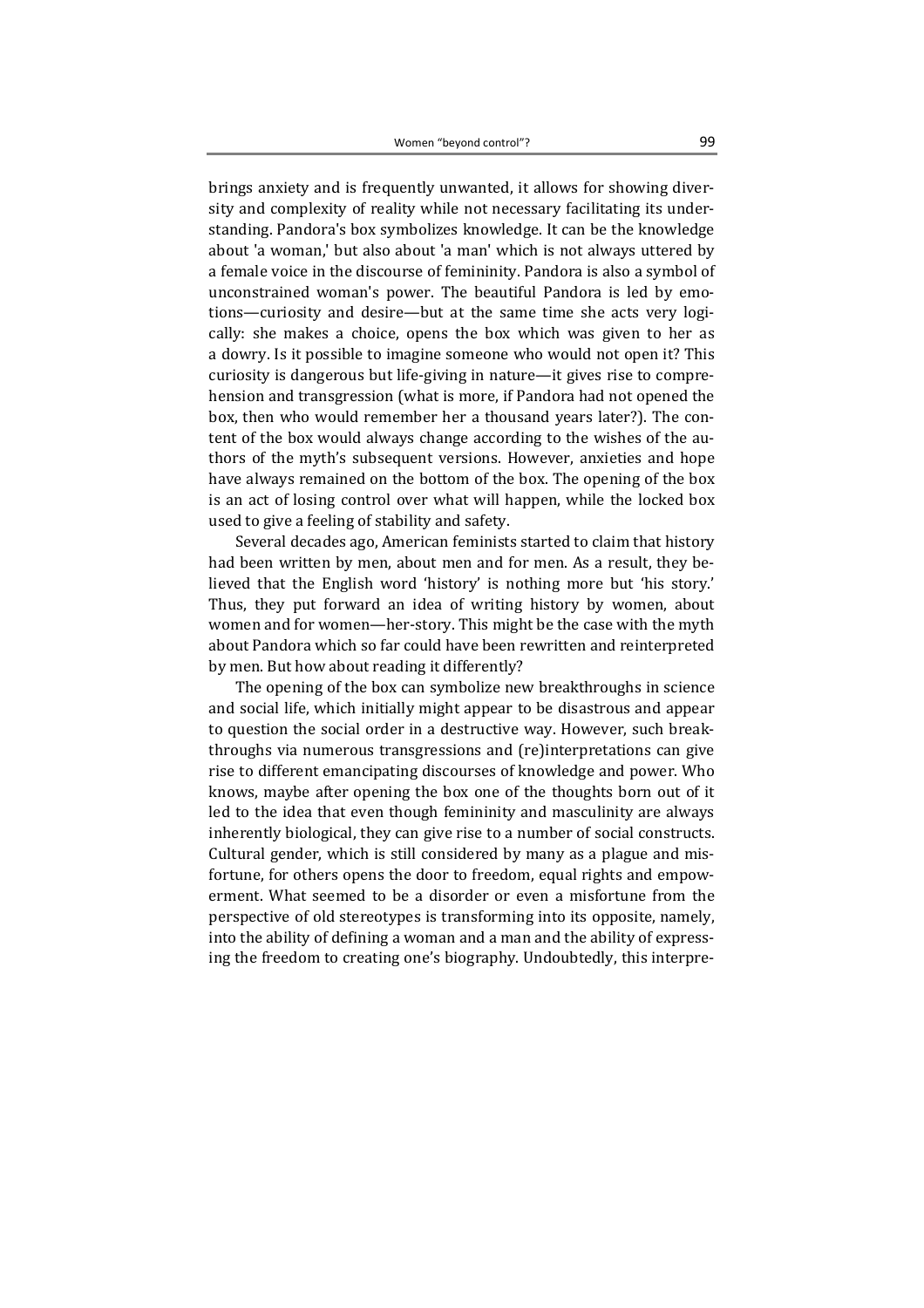brings anxiety and is frequently unwanted, it allows for showing diversity and complexity of reality while not necessary facilitating its understanding. Pandora's box symbolizes knowledge. It can be the knowledge about 'a woman,' but also about 'a man' which is not always uttered by a female voice in the discourse of femininity. Pandora is also a symbol of unconstrained woman's power. The beautiful Pandora is led by emotions—curiosity and desire—but at the same time she acts very logically: she makes a choice, opens the box which was given to her as a dowry. Is it possible to imagine someone who would not open it? This curiosity is dangerous but life-giving in nature—it gives rise to comprehension and transgression (what is more, if Pandora had not opened the box, then who would remember her a thousand years later?). The content of the box would always change according to the wishes of the authors of the myth's subsequent versions. However, anxieties and hope have always remained on the bottom of the box. The opening of the box is an act of losing control over what will happen, while the locked box used to give a feeling of stability and safety.

Several decades ago, American feminists started to claim that history had been written by men, about men and for men. As a result, they believed that the English word 'history' is nothing more but 'his story.' Thus, they put forward an idea of writing history by women, about women and for women—her-story. This might be the case with the myth about Pandora which so far could have been rewritten and reinterpreted by men. But how about reading it differently?

The opening of the box can symbolize new breakthroughs in science and social life, which initially might appear to be disastrous and appear to question the social order in a destructive way. However, such breakthroughs via numerous transgressions and (re)interpretations can give rise to different emancipating discourses of knowledge and power. Who knows, maybe after opening the box one of the thoughts born out of it led to the idea that even though femininity and masculinity are always inherently biological, they can give rise to a number of social constructs. Cultural gender, which is still considered by many as a plague and misfortune, for others opens the door to freedom, equal rights and empowerment. What seemed to be a disorder or even a misfortune from the perspective of old stereotypes is transforming into its opposite, namely, into the ability of defining a woman and a man and the ability of expressing the freedom to creating one's biography. Undoubtedly, this interpre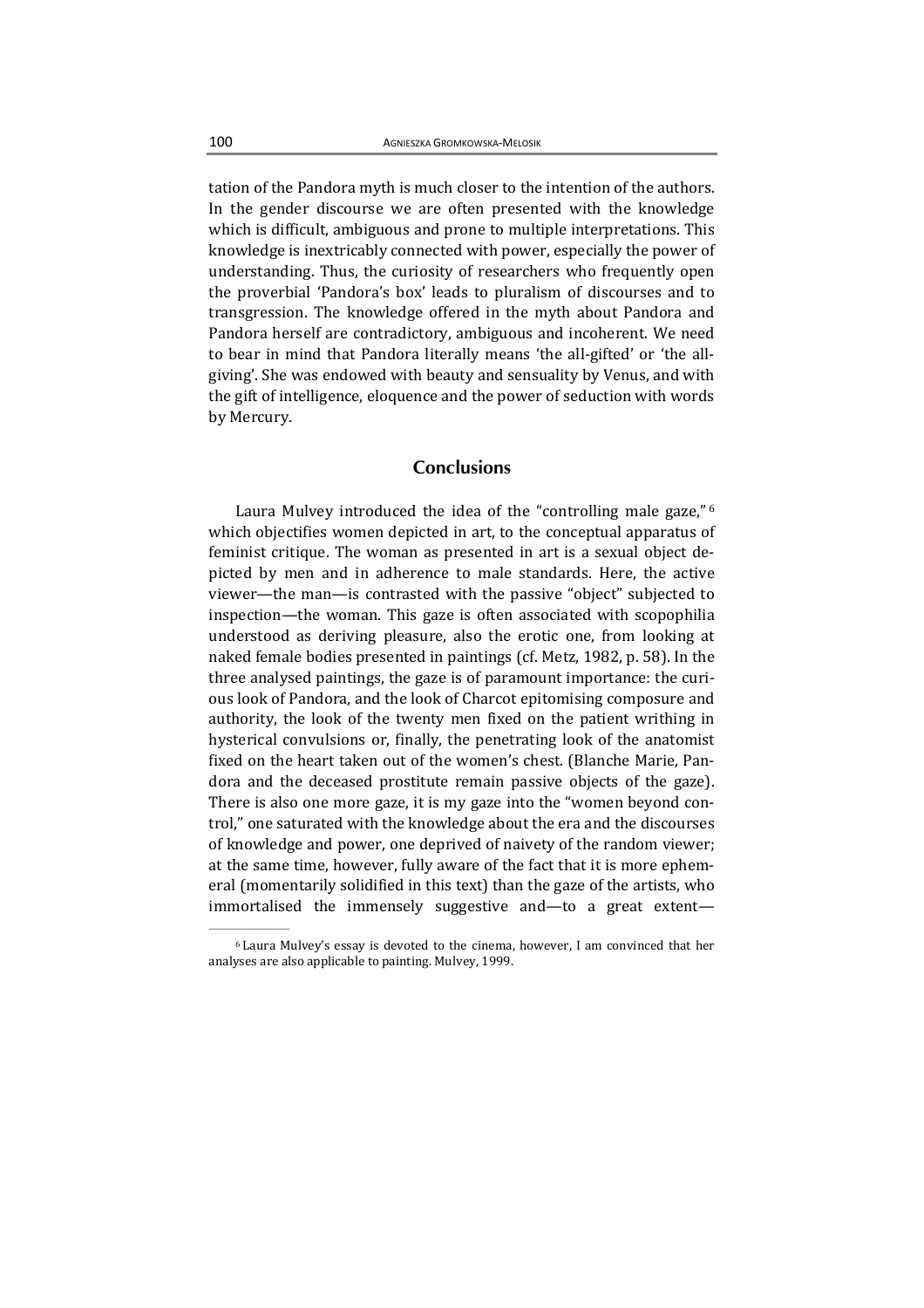tation of the Pandora myth is much closer to the intention of the authors. In the gender discourse we are often presented with the knowledge which is difficult, ambiguous and prone to multiple interpretations. This knowledge is inextricably connected with power, especially the power of understanding. Thus, the curiosity of researchers who frequently open the proverbial 'Pandora's box' leads to pluralism of discourses and to transgression. The knowledge offered in the myth about Pandora and Pandora herself are contradictory, ambiguous and incoherent. We need to bear in mind that Pandora literally means 'the all-gifted' or 'the allgiving'. She was endowed with beauty and sensuality by Venus, and with the gift of intelligence, eloquence and the power of seduction with words by Mercury.

## **Conclusions**

Laura Mulvey introduced the idea of the "controlling male gaze,"<sup>6</sup> which objectifies women depicted in art, to the conceptual apparatus of feminist critique. The woman as presented in art is a sexual object depicted by men and in adherence to male standards. Here, the active viewer—the man—is contrasted with the passive "object" subjected to inspection—the woman. This gaze is often associated with scopophilia understood as deriving pleasure, also the erotic one, from looking at naked female bodies presented in paintings (cf. Metz, 1982, p. 58). In the three analysed paintings, the gaze is of paramount importance: the curious look of Pandora, and the look of Charcot epitomising composure and authority, the look of the twenty men fixed on the patient writhing in hysterical convulsions or, finally, the penetrating look of the anatomist fixed on the heart taken out of the women's chest. (Blanche Marie, Pandora and the deceased prostitute remain passive objects of the gaze). There is also one more gaze, it is my gaze into the "women beyond control," one saturated with the knowledge about the era and the discourses of knowledge and power, one deprived of naivety of the random viewer; at the same time, however, fully aware of the fact that it is more ephemeral (momentarily solidified in this text) than the gaze of the artists, who immortalised the immensely suggestive and—to a great extent—

<sup>6</sup> Laura Mulvey's essay is devoted to the cinema, however, I am convinced that her analyses are also applicable to painting. Mulvey, 1999.